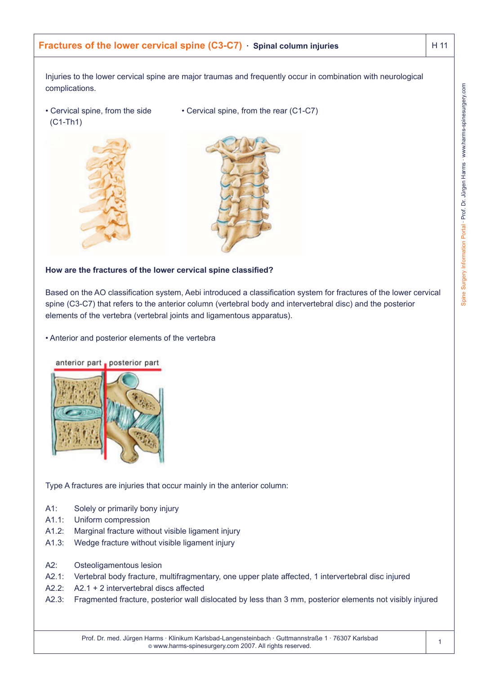# **Fractures of the lower cervical spine (C3-C7)** · Spinal column injuries **H** 11

Injuries to the lower cervical spine are major traumas and frequently occur in combination with neurological complications.

• Cervical spine, from the side • Cervical spine, from the rear (C1-C7)



### **How are the fractures of the lower cervical spine classified?**

Based on the AO classification system, Aebi introduced a classification system for fractures of the lower cervical spine (C3-C7) that refers to the anterior column (vertebral body and intervertebral disc) and the posterior elements of the vertebra (vertebral joints and ligamentous apparatus).

• Anterior and posterior elements of the vertebra



Type A fractures are injuries that occur mainly in the anterior column:

- A1: Solely or primarily bony injury
- A1.1: Uniform compression
- A1.2: Marginal fracture without visible ligament injury
- A1.3: Wedge fracture without visible ligament injury
- A2: Osteoligamentous lesion
- A2.1: Vertebral body fracture, multifragmentary, one upper plate affected, 1 intervertebral disc injured
- A2.2: A2.1 + 2 intervertebral discs affected
- A2.3: Fragmented fracture, posterior wall dislocated by less than 3 mm, posterior elements not visibly injured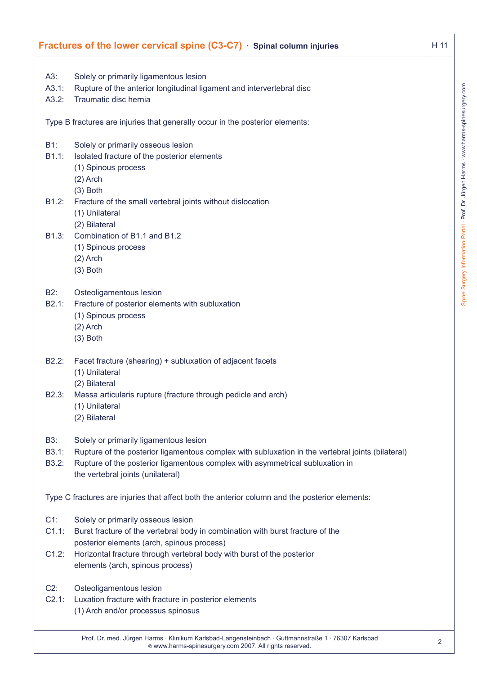| Fractures of the lower cervical spine $(C3-C7)$ $\cdot$ Spinal column injuries<br>H 11 |                                                                                                                    |  |
|----------------------------------------------------------------------------------------|--------------------------------------------------------------------------------------------------------------------|--|
| A3:                                                                                    | Solely or primarily ligamentous lesion                                                                             |  |
| A3.1:                                                                                  | Rupture of the anterior longitudinal ligament and intervertebral disc                                              |  |
| A3.2:                                                                                  | Traumatic disc hernia                                                                                              |  |
|                                                                                        | Type B fractures are injuries that generally occur in the posterior elements:                                      |  |
| $B1$ :                                                                                 | Solely or primarily osseous lesion                                                                                 |  |
| B1.1:                                                                                  | Isolated fracture of the posterior elements                                                                        |  |
|                                                                                        | (1) Spinous process                                                                                                |  |
|                                                                                        | $(2)$ Arch                                                                                                         |  |
|                                                                                        | $(3)$ Both                                                                                                         |  |
| B1.2:                                                                                  | Fracture of the small vertebral joints without dislocation                                                         |  |
|                                                                                        | (1) Unilateral                                                                                                     |  |
| B1.3:                                                                                  | (2) Bilateral<br>Combination of B1.1 and B1.2                                                                      |  |
|                                                                                        | (1) Spinous process                                                                                                |  |
|                                                                                        | $(2)$ Arch                                                                                                         |  |
|                                                                                        | $(3)$ Both                                                                                                         |  |
| <b>B2:</b>                                                                             | Osteoligamentous lesion                                                                                            |  |
| B2.1:                                                                                  | Fracture of posterior elements with subluxation                                                                    |  |
|                                                                                        | (1) Spinous process                                                                                                |  |
|                                                                                        | $(2)$ Arch                                                                                                         |  |
|                                                                                        | $(3)$ Both                                                                                                         |  |
| B2.2:                                                                                  | Facet fracture (shearing) + subluxation of adjacent facets                                                         |  |
|                                                                                        | (1) Unilateral                                                                                                     |  |
|                                                                                        | (2) Bilateral                                                                                                      |  |
| B2.3:                                                                                  | Massa articularis rupture (fracture through pedicle and arch)                                                      |  |
|                                                                                        | (1) Unilateral                                                                                                     |  |
|                                                                                        | (2) Bilateral                                                                                                      |  |
| B3:                                                                                    | Solely or primarily ligamentous lesion                                                                             |  |
| B3.1:                                                                                  | Rupture of the posterior ligamentous complex with subluxation in the vertebral joints (bilateral)                  |  |
| B3.2:                                                                                  | Rupture of the posterior ligamentous complex with asymmetrical subluxation in<br>the vertebral joints (unilateral) |  |
|                                                                                        |                                                                                                                    |  |
|                                                                                        | Type C fractures are injuries that affect both the anterior column and the posterior elements:                     |  |
| $C1$ :                                                                                 | Solely or primarily osseous lesion                                                                                 |  |
| C1.1:                                                                                  | Burst fracture of the vertebral body in combination with burst fracture of the                                     |  |
|                                                                                        | posterior elements (arch, spinous process)                                                                         |  |
| C1.2:                                                                                  | Horizontal fracture through vertebral body with burst of the posterior                                             |  |
|                                                                                        | elements (arch, spinous process)                                                                                   |  |
| $C2$ :                                                                                 | Osteoligamentous lesion                                                                                            |  |
| C2.1:                                                                                  | Luxation fracture with fracture in posterior elements                                                              |  |
|                                                                                        | (1) Arch and/or processus spinosus                                                                                 |  |
|                                                                                        | Prof. Dr. med. Jürgen Harms · Klinikum Karlsbad-Langensteinbach · Guttmannstraße 1 · 76307 Karlsbad                |  |

© www.harms-spinesurgery.com 2007. All rights reserved.

2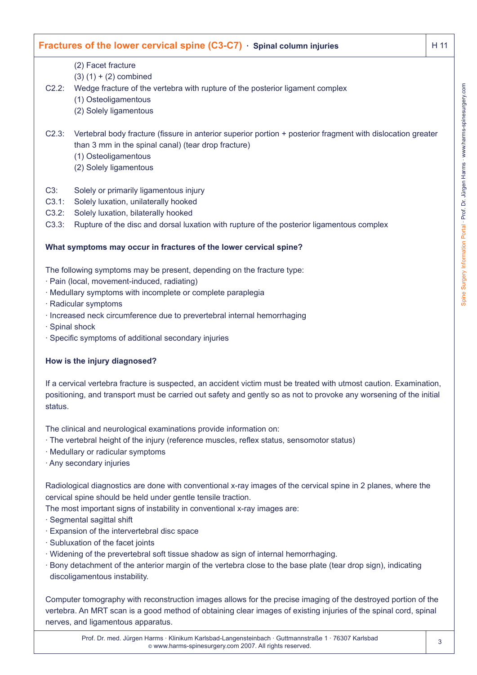# C2.2: Wedge fracture of the vertebra with rupture of the posterior ligament complex C2.3: Vertebral body fracture (fissure in anterior superior portion + posterior fragment with dislocation greater C3.3: Rupture of the disc and dorsal luxation with rupture of the posterior ligamentous complex

## **What symptoms may occur in fractures of the lower cervical spine?**

than 3 mm in the spinal canal) (tear drop fracture)

The following symptoms may be present, depending on the fracture type:

· Pain (local, movement-induced, radiating)

(2) Facet fracture  $(3) (1) + (2)$  combined

(1) Osteoligamentous (2) Solely ligamentous

(1) Osteoligamentous (2) Solely ligamentous

C3: Solely or primarily ligamentous injury C3.1: Solely luxation, unilaterally hooked C3.2: Solely luxation, bilaterally hooked

- · Medullary symptoms with incomplete or complete paraplegia
- · Radicular symptoms
- · Increased neck circumference due to prevertebral internal hemorrhaging
- · Spinal shock
- · Specific symptoms of additional secondary injuries

### **How is the injury diagnosed?**

If a cervical vertebra fracture is suspected, an accident victim must be treated with utmost caution. Examination, positioning, and transport must be carried out safety and gently so as not to provoke any worsening of the initial status.

**Fractures of the lower cervical spine (C3-C7)** · Spinal column injuries **H** 11

The clinical and neurological examinations provide information on:

- · The vertebral height of the injury (reference muscles, reflex status, sensomotor status)
- · Medullary or radicular symptoms
- · Any secondary injuries

Radiological diagnostics are done with conventional x-ray images of the cervical spine in 2 planes, where the cervical spine should be held under gentle tensile traction.

The most important signs of instability in conventional x-ray images are:

- · Segmental sagittal shift
- · Expansion of the intervertebral disc space
- · Subluxation of the facet joints
- · Widening of the prevertebral soft tissue shadow as sign of internal hemorrhaging.
- · Bony detachment of the anterior margin of the vertebra close to the base plate (tear drop sign), indicating discoligamentous instability.

Computer tomography with reconstruction images allows for the precise imaging of the destroyed portion of the vertebra. An MRT scan is a good method of obtaining clear images of existing injuries of the spinal cord, spinal nerves, and ligamentous apparatus.